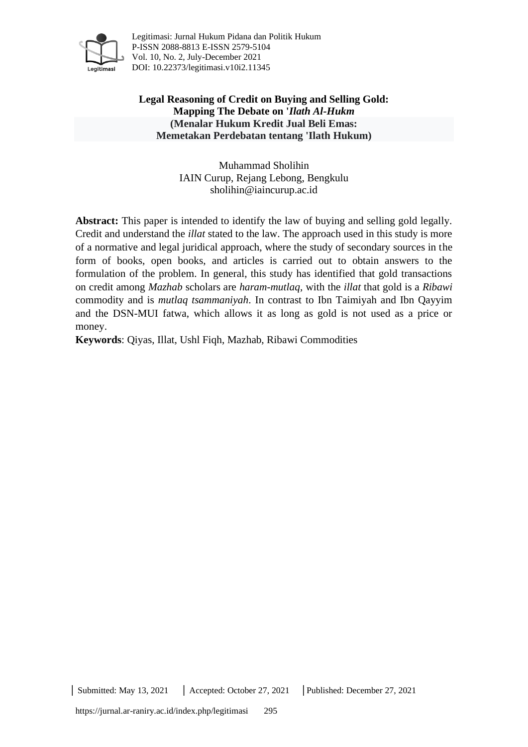

Legitimasi: Jurnal Hukum Pidana dan Politik Hukum P-ISSN 2088-8813 E-ISSN 2579-5104 Vol. 10, No. 2, July-December 2021 DOI: [10.22373/legitimasi.v10i2.11345](http://dx.doi.org/10.22373/legitimasi.v10i2.11339)

**Legal Reasoning of Credit on Buying and Selling Gold: Mapping The Debate on '***Ilath Al-Hukm* **(Menalar Hukum Kredit Jual Beli Emas: Memetakan Perdebatan tentang 'Ilath Hukum)**

> Muhammad Sholihin IAIN Curup, Rejang Lebong, Bengkulu [sholihin@iaincurup.ac.id](mailto:sholihin@iaincurup.ac.id)

**Abstract:** This paper is intended to identify the law of buying and selling gold legally. Credit and understand the *illat* stated to the law. The approach used in this study is more of a normative and legal juridical approach, where the study of secondary sources in the form of books, open books, and articles is carried out to obtain answers to the formulation of the problem. In general, this study has identified that gold transactions on credit among *Mazhab* scholars are *haram-mutlaq,* with the *illat* that gold is a *Ribawi* commodity and is *mutlaq tsammaniyah*. In contrast to Ibn Taimiyah and Ibn Qayyim and the DSN-MUI fatwa, which allows it as long as gold is not used as a price or money.

**Keywords**: Qiyas, Illat, Ushl Fiqh, Mazhab, Ribawi Commodities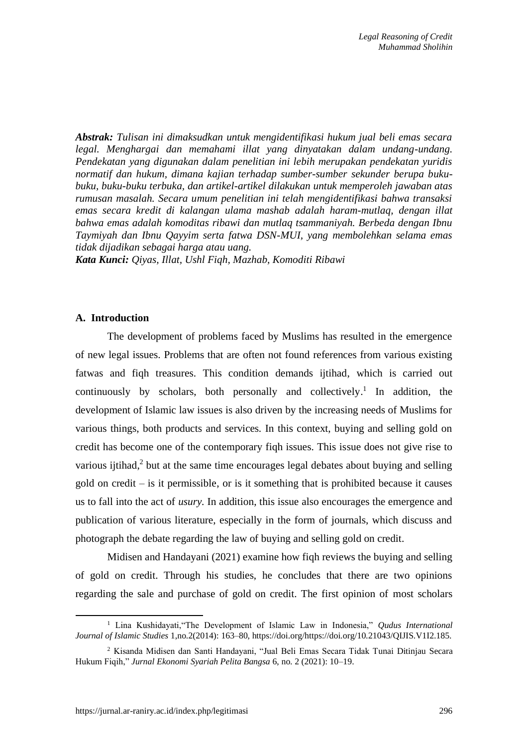*Abstrak: Tulisan ini dimaksudkan untuk mengidentifikasi hukum jual beli emas secara legal. Menghargai dan memahami illat yang dinyatakan dalam undang-undang. Pendekatan yang digunakan dalam penelitian ini lebih merupakan pendekatan yuridis normatif dan hukum, dimana kajian terhadap sumber-sumber sekunder berupa bukubuku, buku-buku terbuka, dan artikel-artikel dilakukan untuk memperoleh jawaban atas rumusan masalah. Secara umum penelitian ini telah mengidentifikasi bahwa transaksi emas secara kredit di kalangan ulama mashab adalah haram-mutlaq, dengan illat bahwa emas adalah komoditas ribawi dan mutlaq tsammaniyah. Berbeda dengan Ibnu Taymiyah dan Ibnu Qayyim serta fatwa DSN-MUI, yang membolehkan selama emas tidak dijadikan sebagai harga atau uang.*

*Kata Kunci: Qiyas, Illat, Ushl Fiqh, Mazhab, Komoditi Ribawi*

#### **A. Introduction**

The development of problems faced by Muslims has resulted in the emergence of new legal issues. Problems that are often not found references from various existing fatwas and fiqh treasures. This condition demands ijtihad, which is carried out continuously by scholars, both personally and collectively.<sup>1</sup> In addition, the development of Islamic law issues is also driven by the increasing needs of Muslims for various things, both products and services. In this context, buying and selling gold on credit has become one of the contemporary fiqh issues. This issue does not give rise to various ijtihad,<sup>2</sup> but at the same time encourages legal debates about buying and selling gold on credit – is it permissible, or is it something that is prohibited because it causes us to fall into the act of *usury.* In addition, this issue also encourages the emergence and publication of various literature, especially in the form of journals, which discuss and photograph the debate regarding the law of buying and selling gold on credit.

Midisen and Handayani (2021) examine how fiqh reviews the buying and selling of gold on credit. Through his studies, he concludes that there are two opinions regarding the sale and purchase of gold on credit. The first opinion of most scholars

<sup>1</sup> Lina Kushidayati,"The Development of Islamic Law in Indonesia," *Qudus International Journal of Islamic Studies* 1,no.2(2014): 163–80, https://doi.org/https://doi.org/10.21043/QIJIS.V1I2.185.

<sup>2</sup> Kisanda Midisen dan Santi Handayani, "Jual Beli Emas Secara Tidak Tunai Ditinjau Secara Hukum Fiqih," *Jurnal Ekonomi Syariah Pelita Bangsa* 6, no. 2 (2021): 10–19.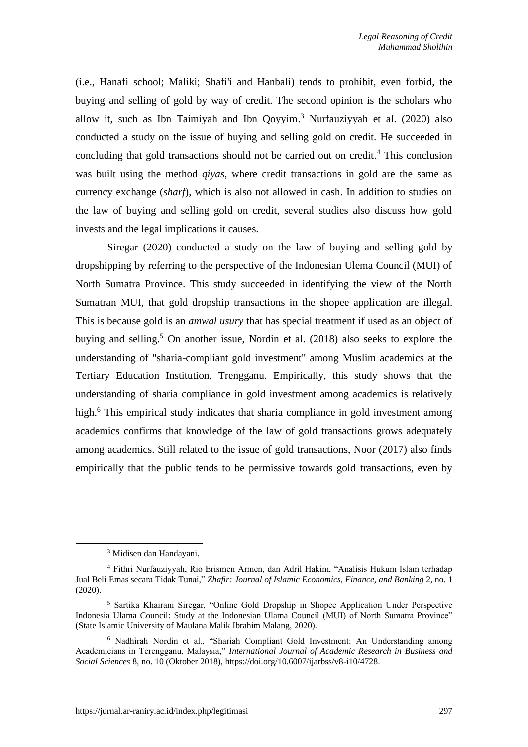(i.e., Hanafi school; Maliki; Shafi'i and Hanbali) tends to prohibit, even forbid, the buying and selling of gold by way of credit. The second opinion is the scholars who allow it, such as Ibn Taimiyah and Ibn Qoyyim. <sup>3</sup> Nurfauziyyah et al. (2020) also conducted a study on the issue of buying and selling gold on credit. He succeeded in concluding that gold transactions should not be carried out on credit. <sup>4</sup> This conclusion was built using the method *qiyas*, where credit transactions in gold are the same as currency exchange (*sharf*), which is also not allowed in cash. In addition to studies on the law of buying and selling gold on credit, several studies also discuss how gold invests and the legal implications it causes.

Siregar (2020) conducted a study on the law of buying and selling gold by dropshipping by referring to the perspective of the Indonesian Ulema Council (MUI) of North Sumatra Province. This study succeeded in identifying the view of the North Sumatran MUI, that gold dropship transactions in the shopee application are illegal. This is because gold is an *amwal usury* that has special treatment if used as an object of buying and selling. <sup>5</sup> On another issue, Nordin et al. (2018) also seeks to explore the understanding of "sharia-compliant gold investment" among Muslim academics at the Tertiary Education Institution, Trengganu. Empirically, this study shows that the understanding of sharia compliance in gold investment among academics is relatively high.<sup>6</sup> This empirical study indicates that sharia compliance in gold investment among academics confirms that knowledge of the law of gold transactions grows adequately among academics. Still related to the issue of gold transactions, Noor (2017) also finds empirically that the public tends to be permissive towards gold transactions, even by

<sup>3</sup> Midisen dan Handayani.

<sup>4</sup> Fithri Nurfauziyyah, Rio Erismen Armen, dan Adril Hakim, "Analisis Hukum Islam terhadap Jual Beli Emas secara Tidak Tunai," *Zhafir: Journal of Islamic Economics, Finance, and Banking* 2, no. 1 (2020).

<sup>5</sup> Sartika Khairani Siregar, "Online Gold Dropship in Shopee Application Under Perspective Indonesia Ulama Council: Study at the Indonesian Ulama Council (MUI) of North Sumatra Province" (State Islamic University of Maulana Malik Ibrahim Malang, 2020).

<sup>6</sup> Nadhirah Nordin et al., "Shariah Compliant Gold Investment: An Understanding among Academicians in Terengganu, Malaysia," *International Journal of Academic Research in Business and Social Sciences* 8, no. 10 (Oktober 2018), https://doi.org/10.6007/ijarbss/v8-i10/4728.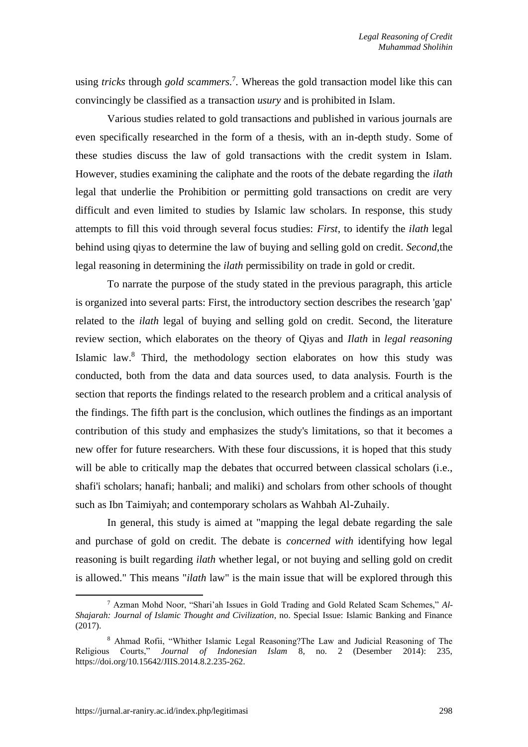using *tricks* through *gold scammers.* 7 *.* Whereas the gold transaction model like this can convincingly be classified as a transaction *usury* and is prohibited in Islam.

Various studies related to gold transactions and published in various journals are even specifically researched in the form of a thesis, with an in-depth study. Some of these studies discuss the law of gold transactions with the credit system in Islam. However, studies examining the caliphate and the roots of the debate regarding the *ilath* legal that underlie the Prohibition or permitting gold transactions on credit are very difficult and even limited to studies by Islamic law scholars. In response, this study attempts to fill this void through several focus studies: *First*, to identify the *ilath* legal behind using qiyas to determine the law of buying and selling gold on credit. *Second,*the legal reasoning in determining the *ilath* permissibility on trade in gold or credit.

To narrate the purpose of the study stated in the previous paragraph, this article is organized into several parts: First, the introductory section describes the research 'gap' related to the *ilath* legal of buying and selling gold on credit. Second, the literature review section, which elaborates on the theory of Qiyas and *Ilath* in *legal reasoning*  Islamic law.<sup>8</sup> Third, the methodology section elaborates on how this study was conducted, both from the data and data sources used, to data analysis. Fourth is the section that reports the findings related to the research problem and a critical analysis of the findings. The fifth part is the conclusion, which outlines the findings as an important contribution of this study and emphasizes the study's limitations, so that it becomes a new offer for future researchers. With these four discussions, it is hoped that this study will be able to critically map the debates that occurred between classical scholars (i.e., shafi'i scholars; hanafi; hanbali; and maliki) and scholars from other schools of thought such as Ibn Taimiyah; and contemporary scholars as Wahbah Al-Zuhaily.

In general, this study is aimed at "mapping the legal debate regarding the sale and purchase of gold on credit. The debate is *concerned with* identifying how legal reasoning is built regarding *ilath* whether legal, or not buying and selling gold on credit is allowed." This means "*ilath* law" is the main issue that will be explored through this

<sup>7</sup> Azman Mohd Noor, "Shari'ah Issues in Gold Trading and Gold Related Scam Schemes," *Al-Shajarah: Journal of Islamic Thought and Civilization*, no. Special Issue: Islamic Banking and Finance (2017).

<sup>8</sup> Ahmad Rofii, "Whither Islamic Legal Reasoning?The Law and Judicial Reasoning of The Religious Courts," *Journal of Indonesian Islam* 8, no. 2 (Desember 2014): 235, https://doi.org/10.15642/JIIS.2014.8.2.235-262.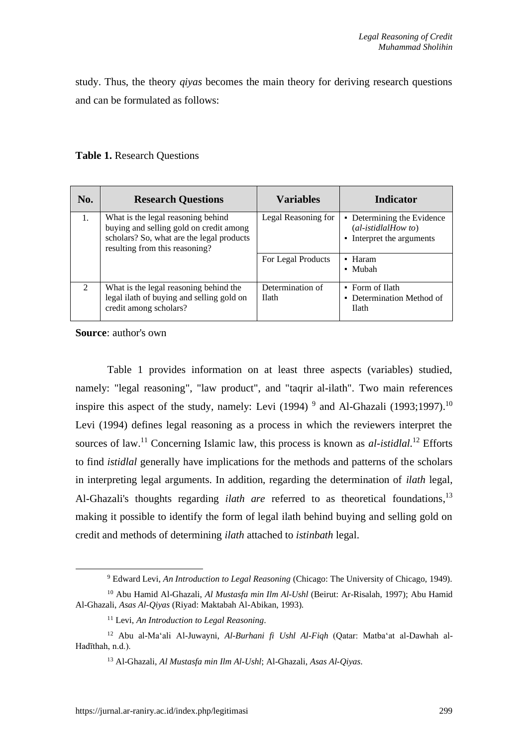study. Thus, the theory *qiyas* becomes the main theory for deriving research questions and can be formulated as follows:

## **Table 1.** Research Questions

| No.            | <b>Research Questions</b>                                                                                                                                    | <b>Variables</b>                 | <b>Indicator</b>                                                                |
|----------------|--------------------------------------------------------------------------------------------------------------------------------------------------------------|----------------------------------|---------------------------------------------------------------------------------|
| 1.             | What is the legal reasoning behind<br>buying and selling gold on credit among<br>scholars? So, what are the legal products<br>resulting from this reasoning? | Legal Reasoning for              | • Determining the Evidence<br>$(al-istidalHow to)$<br>• Interpret the arguments |
|                |                                                                                                                                                              | For Legal Products               | • Haram<br>• Mubah                                                              |
| $\mathfrak{D}$ | What is the legal reasoning behind the<br>legal ilath of buying and selling gold on<br>credit among scholars?                                                | Determination of<br><b>Ilath</b> | • Form of Ilath<br>• Determination Method of<br><b>Ilath</b>                    |

**Source**: author's own

Table 1 provides information on at least three aspects (variables) studied, namely: "legal reasoning", "law product", and "taqrir al-ilath". Two main references inspire this aspect of the study, namely: Levi  $(1994)$ <sup>9</sup> and Al-Ghazali  $(1993;1997)$ .<sup>10</sup> Levi (1994) defines legal reasoning as a process in which the reviewers interpret the sources of law.<sup>11</sup> Concerning Islamic law, this process is known as *al-istidlal*.<sup>12</sup> Efforts to find *istidlal* generally have implications for the methods and patterns of the scholars in interpreting legal arguments. In addition, regarding the determination of *ilath* legal, Al-Ghazali's thoughts regarding *ilath are* referred to as theoretical foundations, 13 making it possible to identify the form of legal ilath behind buying and selling gold on credit and methods of determining *ilath* attached to *istinbath* legal.

<sup>9</sup> Edward Levi, *An Introduction to Legal Reasoning* (Chicago: The University of Chicago, 1949).

<sup>10</sup> Abu Hamid Al-Ghazali, *Al Mustasfa min Ilm Al-Ushl* (Beirut: Ar-Risalah, 1997); Abu Hamid Al-Ghazali, *Asas Al-Qiyas* (Riyad: Maktabah Al-Abikan, 1993).

<sup>11</sup> Levi, *An Introduction to Legal Reasoning*.

<sup>12</sup> Abu al-Ma'ali Al-Juwayni, *Al-Burhani fi Ushl Al-Fiqh* (Qatar: Matba'at al-Dawhah al-Hadīthah, n.d.).

<sup>13</sup> Al-Ghazali, *Al Mustasfa min Ilm Al-Ushl*; Al-Ghazali, *Asas Al-Qiyas*.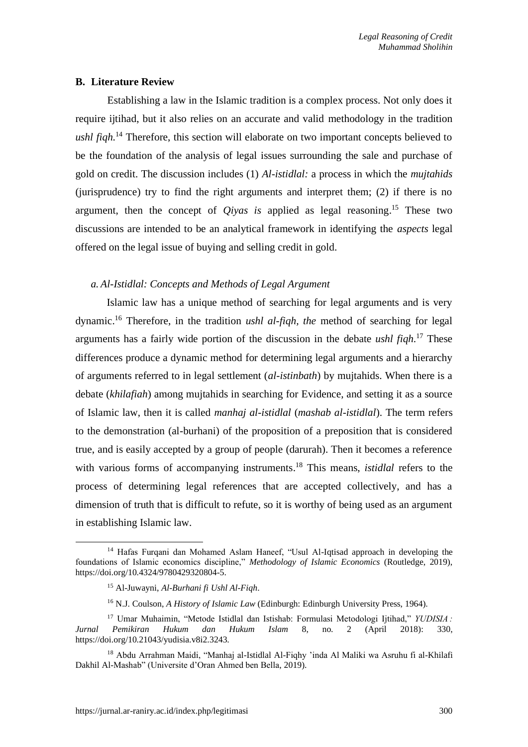#### **B. Literature Review**

Establishing a law in the Islamic tradition is a complex process. Not only does it require ijtihad, but it also relies on an accurate and valid methodology in the tradition *ushl fiqh.* <sup>14</sup> Therefore, this section will elaborate on two important concepts believed to be the foundation of the analysis of legal issues surrounding the sale and purchase of gold on credit. The discussion includes (1) *Al-istidlal:* a process in which the *mujtahids* (jurisprudence) try to find the right arguments and interpret them; (2) if there is no argument, then the concept of *Qiyas is* applied as legal reasoning. <sup>15</sup> These two discussions are intended to be an analytical framework in identifying the *aspects* legal offered on the legal issue of buying and selling credit in gold.

## *a. Al-Istidlal: Concepts and Methods of Legal Argument*

Islamic law has a unique method of searching for legal arguments and is very dynamic. <sup>16</sup> Therefore, in the tradition *ushl al-fiqh, the* method of searching for legal arguments has a fairly wide portion of the discussion in the debate *ushl fiqh.* <sup>17</sup> These differences produce a dynamic method for determining legal arguments and a hierarchy of arguments referred to in legal settlement (*al-istinbath*) by mujtahids. When there is a debate (*khilafiah*) among mujtahids in searching for Evidence, and setting it as a source of Islamic law, then it is called *manhaj al-istidlal* (*mashab al-istidlal*). The term refers to the demonstration (al-burhani) of the proposition of a preposition that is considered true, and is easily accepted by a group of people (darurah). Then it becomes a reference with various forms of accompanying instruments. <sup>18</sup> This means, *istidlal* refers to the process of determining legal references that are accepted collectively, and has a dimension of truth that is difficult to refute, so it is worthy of being used as an argument in establishing Islamic law.

<sup>14</sup> Hafas Furqani dan Mohamed Aslam Haneef, "Usul Al-Iqtisad approach in developing the foundations of Islamic economics discipline," *Methodology of Islamic Economics* (Routledge, 2019), https://doi.org/10.4324/9780429320804-5.

<sup>15</sup> Al-Juwayni, *Al-Burhani fi Ushl Al-Fiqh*.

<sup>&</sup>lt;sup>16</sup> N.J. Coulson, *A History of Islamic Law* (Edinburgh: Edinburgh University Press, 1964).

<sup>17</sup> Umar Muhaimin, "Metode Istidlal dan Istishab: Formulasi Metodologi Ijtihad," *YUDISIA : Jurnal Pemikiran Hukum dan Hukum Islam* 8, no. 2 (April 2018): 330, https://doi.org/10.21043/yudisia.v8i2.3243.

<sup>18</sup> Abdu Arrahman Maidi, "Manhaj al-Istidlal Al-Fiqhy 'inda Al Maliki wa Asruhu fi al-Khilafi Dakhil Al-Mashab" (Universite d'Oran Ahmed ben Bella, 2019).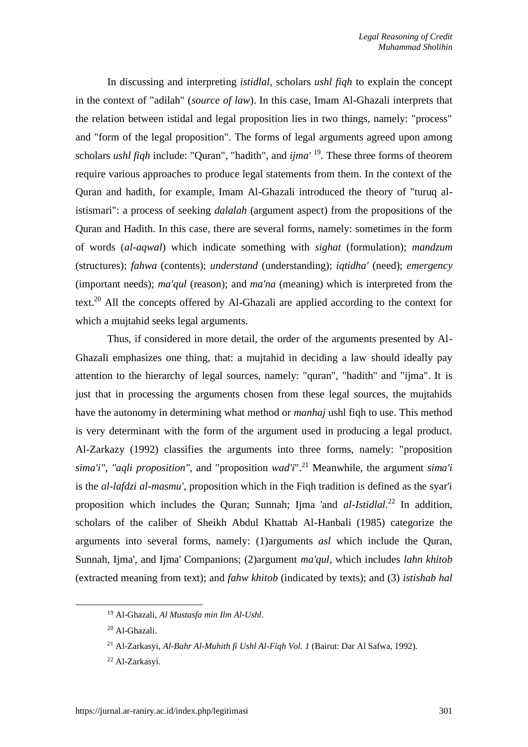In discussing and interpreting *istidlal,* scholars *ushl fiqh* to explain the concept in the context of "adilah" (*source of law*). In this case, Imam Al-Ghazali interprets that the relation between istidal and legal proposition lies in two things, namely: "process" and "form of the legal proposition". The forms of legal arguments agreed upon among scholars *ushl fiqh* include: "Quran", "hadith", and *ijma'* <sup>19</sup> *.* These three forms of theorem require various approaches to produce legal statements from them. In the context of the Quran and hadith, for example, Imam Al-Ghazali introduced the theory of "turuq alistismari": a process of seeking *dalalah* (argument aspect) from the propositions of the Quran and Hadith. In this case, there are several forms, namely: sometimes in the form of words (*al-aqwal*) which indicate something with *sighat* (formulation); *mandzum*  (structures); *fahwa* (contents); *understand* (understanding); *iqtidha'* (need); *emergency* (important needs); *ma'qul* (reason); and *ma'na* (meaning) which is interpreted from the text.<sup>20</sup> All the concepts offered by Al-Ghazali are applied according to the context for which a mujtahid seeks legal arguments.

Thus, if considered in more detail, the order of the arguments presented by Al-Ghazali emphasizes one thing, that: a mujtahid in deciding a law should ideally pay attention to the hierarchy of legal sources, namely: "quran", "hadith" and "ijma". It is just that in processing the arguments chosen from these legal sources, the mujtahids have the autonomy in determining what method or *manhaj* ushl fiqh to use. This method is very determinant with the form of the argument used in producing a legal product. Al-Zarkazy (1992) classifies the arguments into three forms, namely: "proposition *sima'i", "aqli proposition",* and "proposition *wad'i*". <sup>21</sup> Meanwhile, the argument *sima'i*  is the *al-lafdzi al-masmu',* proposition which in the Fiqh tradition is defined as the syar'i proposition which includes the Quran; Sunnah; Ijma 'and *al-Istidlal.* <sup>22</sup> In addition, scholars of the caliber of Sheikh Abdul Khattab Al-Hanbali (1985) categorize the arguments into several forms, namely: (1)arguments *asl* which include the Quran, Sunnah, Ijma', and Ijma' Companions; (2)argument *ma'qul,* which includes *lahn khitob* (extracted meaning from text); and *fahw khitob* (indicated by texts); and (3) *istishab hal*

<sup>19</sup> Al-Ghazali, *Al Mustasfa min Ilm Al-Ushl*.

<sup>20</sup> Al-Ghazali.

<sup>21</sup> Al-Zarkasyi, *Al-Bahr Al-Muhith fi Ushl Al-Fiqh Vol. 1* (Bairut: Dar Al Safwa, 1992).

<sup>22</sup> Al-Zarkasyi.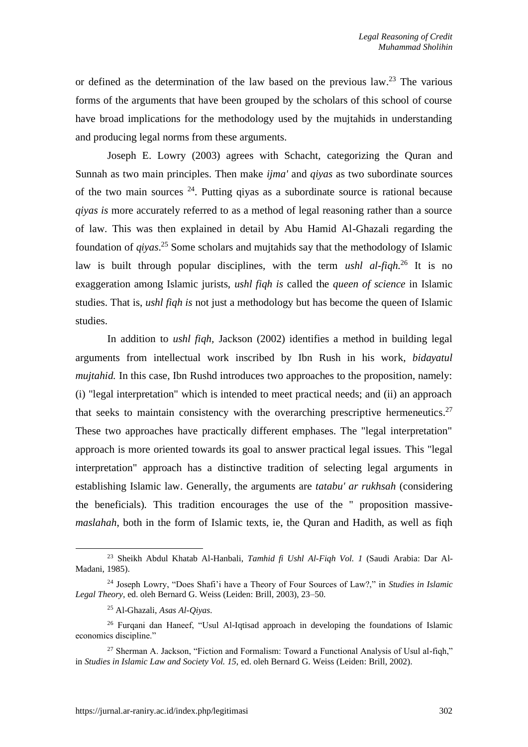or defined as the determination of the law based on the previous  $\text{law.}^{23}$  The various forms of the arguments that have been grouped by the scholars of this school of course have broad implications for the methodology used by the mujtahids in understanding and producing legal norms from these arguments.

Joseph E. Lowry (2003) agrees with Schacht, categorizing the Quran and Sunnah as two main principles. Then make *ijma'* and *qiyas* as two subordinate sources of the two main sources  $^{24}$ . Putting givas as a subordinate source is rational because *qiyas is* more accurately referred to as a method of legal reasoning rather than a source of law. This was then explained in detail by Abu Hamid Al-Ghazali regarding the foundation of *qiyas*. <sup>25</sup> Some scholars and mujtahids say that the methodology of Islamic law is built through popular disciplines, with the term *ushl al-fiqh.* <sup>26</sup> It is no exaggeration among Islamic jurists, *ushl fiqh is* called the *queen of science* in Islamic studies. That is, *ushl fiqh is* not just a methodology but has become the queen of Islamic studies.

In addition to *ushl fiqh,* Jackson (2002) identifies a method in building legal arguments from intellectual work inscribed by Ibn Rush in his work, *bidayatul mujtahid.* In this case, Ibn Rushd introduces two approaches to the proposition, namely: (i) "legal interpretation" which is intended to meet practical needs; and (ii) an approach that seeks to maintain consistency with the overarching prescriptive hermeneutics.<sup>27</sup> These two approaches have practically different emphases. The "legal interpretation" approach is more oriented towards its goal to answer practical legal issues. This "legal interpretation" approach has a distinctive tradition of selecting legal arguments in establishing Islamic law. Generally, the arguments are *tatabu' ar rukhsah* (considering the beneficials)*.* This tradition encourages the use of the " proposition massive*maslahah*, both in the form of Islamic texts, ie, the Quran and Hadith, as well as fiqh

<sup>23</sup> Sheikh Abdul Khatab Al-Hanbali, *Tamhid fi Ushl Al-Fiqh Vol. 1* (Saudi Arabia: Dar Al-Madani, 1985).

<sup>24</sup> Joseph Lowry, "Does Shafi'i have a Theory of Four Sources of Law?," in *Studies in Islamic Legal Theory*, ed. oleh Bernard G. Weiss (Leiden: Brill, 2003), 23–50.

<sup>25</sup> Al-Ghazali, *Asas Al-Qiyas*.

<sup>&</sup>lt;sup>26</sup> Furqani dan Haneef, "Usul Al-Iqtisad approach in developing the foundations of Islamic economics discipline."

 $27$  Sherman A. Jackson, "Fiction and Formalism: Toward a Functional Analysis of Usul al-fiqh," in *Studies in Islamic Law and Society Vol. 15*, ed. oleh Bernard G. Weiss (Leiden: Brill, 2002).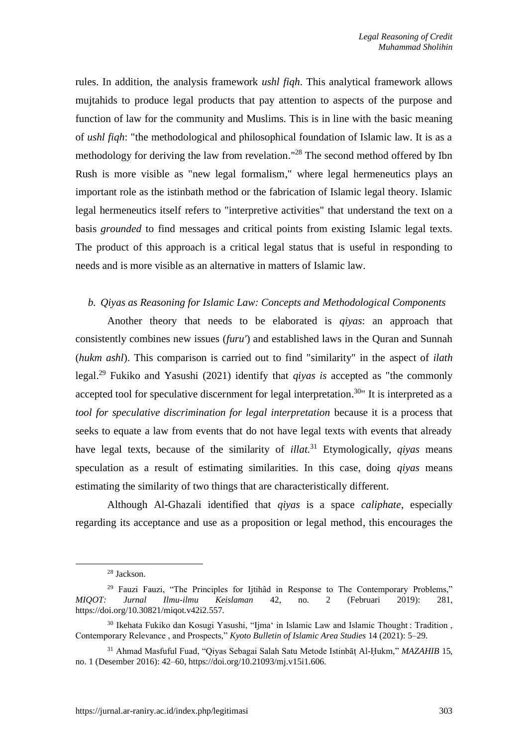rules. In addition, the analysis framework *ushl fiqh*. This analytical framework allows mujtahids to produce legal products that pay attention to aspects of the purpose and function of law for the community and Muslims. This is in line with the basic meaning of *ushl fiqh*: "the methodological and philosophical foundation of Islamic law. It is as a methodology for deriving the law from revelation."<sup>28</sup> The second method offered by Ibn Rush is more visible as "new legal formalism," where legal hermeneutics plays an important role as the istinbath method or the fabrication of Islamic legal theory. Islamic legal hermeneutics itself refers to "interpretive activities" that understand the text on a basis *grounded* to find messages and critical points from existing Islamic legal texts. The product of this approach is a critical legal status that is useful in responding to needs and is more visible as an alternative in matters of Islamic law.

#### *b. Qiyas as Reasoning for Islamic Law: Concepts and Methodological Components*

Another theory that needs to be elaborated is *qiyas*: an approach that consistently combines new issues (*furu'*) and established laws in the Quran and Sunnah (*hukm ashl*). This comparison is carried out to find "similarity" in the aspect of *ilath* legal. <sup>29</sup> Fukiko and Yasushi (2021) identify that *qiyas is* accepted as "the commonly accepted tool for speculative discernment for legal interpretation.<sup>30</sup> It is interpreted as a *tool for speculative discrimination for legal interpretation* because it is a process that seeks to equate a law from events that do not have legal texts with events that already have legal texts, because of the similarity of *illat.* <sup>31</sup> Etymologically, *qiyas* means speculation as a result of estimating similarities. In this case, doing *qiyas* means estimating the similarity of two things that are characteristically different.

Although Al-Ghazali identified that *qiyas* is a space *caliphate*, especially regarding its acceptance and use as a proposition or legal method, this encourages the

<sup>28</sup> Jackson.

 $29$  Fauzi Fauzi, "The Principles for Ijtihâd in Response to The Contemporary Problems," *MIQOT: Jurnal Ilmu-ilmu Keislaman* 42, no. 2 (Februari 2019): 281, https://doi.org/10.30821/miqot.v42i2.557.

<sup>&</sup>lt;sup>30</sup> Ikehata Fukiko dan Kosugi Yasushi, "Ijma' in Islamic Law and Islamic Thought : Tradition, Contemporary Relevance , and Prospects," *Kyoto Bulletin of Islamic Area Studies* 14 (2021): 5–29.

<sup>31</sup> Ahmad Masfuful Fuad, "Qiyas Sebagai Salah Satu Metode Istinbāṭ Al-Ḥukm," *MAZAHIB* 15, no. 1 (Desember 2016): 42–60, https://doi.org/10.21093/mj.v15i1.606.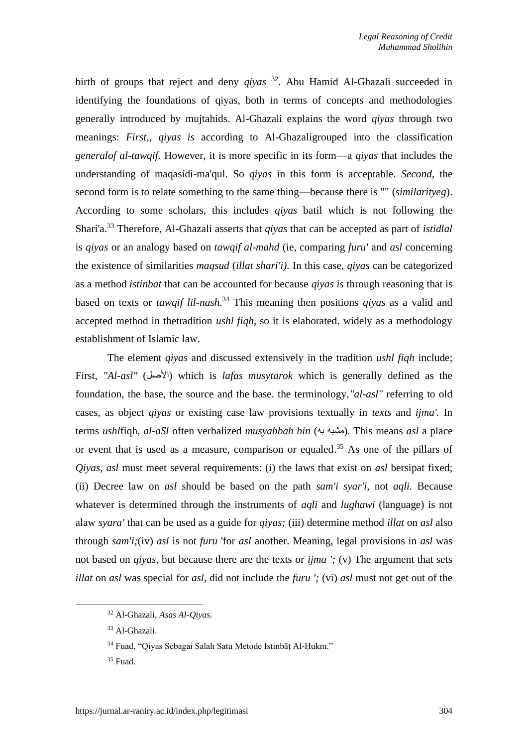birth of groups that reject and deny *qiyas* <sup>32</sup> . Abu Hamid Al-Ghazali succeeded in identifying the foundations of qiyas, both in terms of concepts and methodologies generally introduced by mujtahids. Al-Ghazali explains the word *qiyas* through two meanings: *First*,, *qiyas is* according to Al-Ghazaligrouped into the classification *generalof al-tawqif.* However, it is more specific in its form—a *qiyas* that includes the understanding of maqasidi-ma'qul. So *qiyas* in this form is acceptable. *Second*, the second form is to relate something to the same thing—because there is "" (*similarityeg*). According to some scholars, this includes *qiyas* batil which is not following the Shari'a. <sup>33</sup> Therefore, Al-Ghazali asserts that *qiyas* that can be accepted as part of *istidlal* is *qiyas* or an analogy based on *tawqif al-mahd* (ie, comparing *furu'* and *asl* concerning the existence of similarities *maqsud* (*illat shari'i).* In this case, *qiyas* can be categorized as a method *istinbat* that can be accounted for because *qiyas is* through reasoning that is based on texts or *tawqif lil-nash*. <sup>34</sup> This meaning then positions *qiyas* as a valid and accepted method in thetradition *ushl fiqh*, so it is elaborated. widely as a methodology establishment of Islamic law.

The element *qiyas* and discussed extensively in the tradition *ushl fiqh* include; First, *"Al-asl"* (األصل (which is *lafas musytarok* which is generally defined as the foundation, the base, the source and the base. the terminology,*"al-asl"* referring to old cases, as object *qiyas* or existing case law provisions textually in *texts* and *ijma'.* In terms *ushlfiqh, al-aSl* often verbalized *musyabbah bin* (مشبه به). This means *asl* a place or event that is used as a measure, comparison or equaled. <sup>35</sup> As one of the pillars of *Qiyas, asl* must meet several requirements: (i) the laws that exist on *asl* bersipat fixed; (ii) Decree law on *asl* should be based on the path *sam'i syar'i,* not *aqli.* Because whatever is determined through the instruments of *aqli* and *lughawi* (language) is not alaw *syara'* that can be used as a guide for *qiyas;* (iii) determine method *illat* on *asl* also through *sam'i;*(iv) *asl* is not *furu* 'for *asl* another. Meaning, legal provisions in *asl* was not based on *qiyas,* but because there are the texts or *ijma ';* (v) The argument that sets *illat* on *asl* was special for *asl,* did not include the *furu ';* (vi) *asl* must not get out of the

<sup>32</sup> Al-Ghazali, *Asas Al-Qiyas*.

<sup>33</sup> Al-Ghazali.

<sup>34</sup> Fuad, "Qiyas Sebagai Salah Satu Metode Istinbāṭ Al-Ḥukm."

<sup>35</sup> Fuad.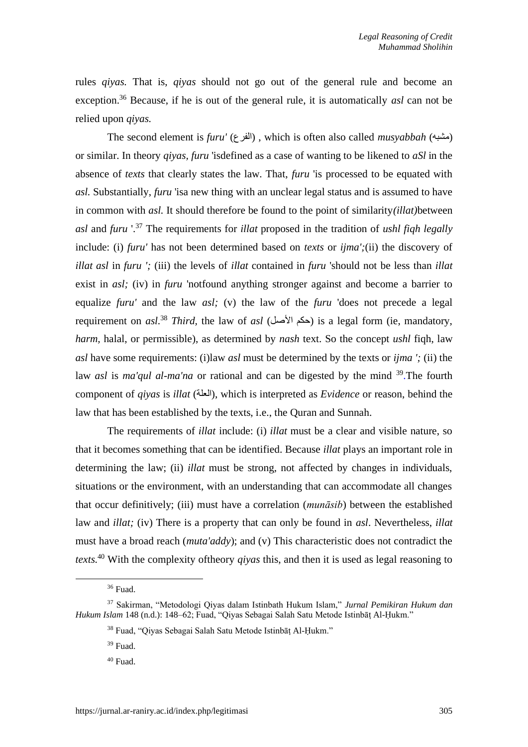rules *qiyas.* That is, *qiyas* should not go out of the general rule and become an exception. <sup>36</sup> Because, if he is out of the general rule, it is automatically *asl* can not be relied upon *qiyas.*

The second element is *furu'* (الفرع), which is often also called *musyabbah* (مشبه) or similar. In theory *qiyas, furu* 'isdefined as a case of wanting to be likened to *aSl* in the absence of *texts* that clearly states the law. That, *furu* 'is processed to be equated with *asl.* Substantially, *furu* 'isa new thing with an unclear legal status and is assumed to have in common with *asl.* It should therefore be found to the point of similarity*(illat)*between *asl* and *furu* '. <sup>37</sup> The requirements for *illat* proposed in the tradition of *ushl fiqh legally* include: (i) *furu'* has not been determined based on *texts* or *ijma';*(ii) the discovery of *illat asl* in *furu ';* (iii) the levels of *illat* contained in *furu* 'should not be less than *illat* exist in *asl;* (iv) in *furu* 'notfound anything stronger against and become a barrier to equalize *furu'* and the law *asl;* (v) the law of the *furu* 'does not precede a legal requirement on *asl.*<sup>38</sup> *Third*, the law of *asl* (حكم الأصل) is a legal form (ie, mandatory, *harm,* halal, or permissible), as determined by *nash* text. So the concept *ushl* fiqh, law *asl* have some requirements: (i)law *asl* must be determined by the texts or *ijma ';* (ii) the law *asl* is *ma'qul al-ma'na* or rational and can be digested by the mind <sup>39</sup>. The fourth component of *qiyas* is *illat* (العلة), which is interpreted as *Evidence* or reason, behind the law that has been established by the texts, i.e., the Quran and Sunnah.

The requirements of *illat* include: (i) *illat* must be a clear and visible nature, so that it becomes something that can be identified. Because *illat* plays an important role in determining the law; (ii) *illat* must be strong, not affected by changes in individuals, situations or the environment, with an understanding that can accommodate all changes that occur definitively; (iii) must have a correlation (*munāsib*) between the established law and *illat;* (iv) There is a property that can only be found in *asl*. Nevertheless, *illat* must have a broad reach (*muta'addy*); and (v) This characteristic does not contradict the *texts.* <sup>40</sup> With the complexity oftheory *qiyas* this, and then it is used as legal reasoning to

<sup>36</sup> Fuad.

<sup>37</sup> Sakirman, "Metodologi Qiyas dalam Istinbath Hukum Islam," *Jurnal Pemikiran Hukum dan Hukum Islam* 148 (n.d.): 148–62; Fuad, "Qiyas Sebagai Salah Satu Metode Istinbāṭ Al-Ḥukm."

<sup>38</sup> Fuad, "Qiyas Sebagai Salah Satu Metode Istinbāṭ Al-Ḥukm."

<sup>39</sup> Fuad.

<sup>40</sup> Fuad.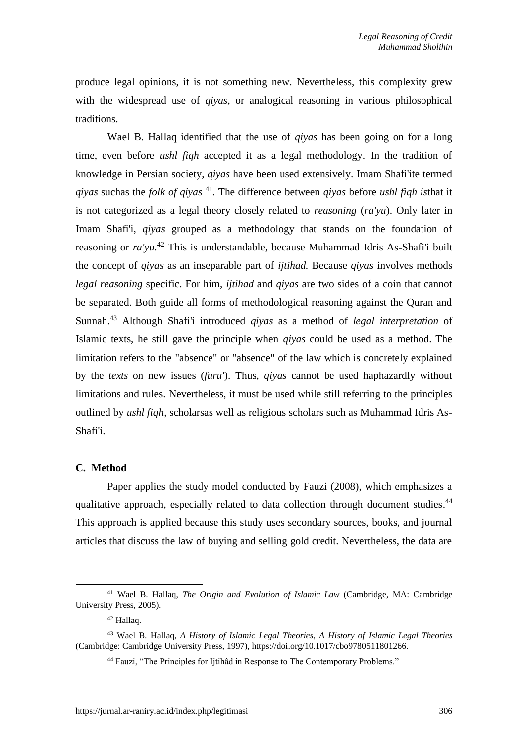produce legal opinions, it is not something new. Nevertheless, this complexity grew with the widespread use of *qiyas,* or analogical reasoning in various philosophical traditions.

Wael B. Hallaq identified that the use of *qiyas* has been going on for a long time, even before *ushl fiqh* accepted it as a legal methodology. In the tradition of knowledge in Persian society, *qiyas* have been used extensively. Imam Shafi'ite termed *qiyas* suchas the *folk of qiyas* <sup>41</sup> *.* The difference between *qiyas* before *ushl fiqh is*that it is not categorized as a legal theory closely related to *reasoning* (*ra'yu*). Only later in Imam Shafi'i, *qiyas* grouped as a methodology that stands on the foundation of reasoning or *ra'yu.* <sup>42</sup> This is understandable, because Muhammad Idris As-Shafi'i built the concept of *qiyas* as an inseparable part of *ijtihad.* Because *qiyas* involves methods *legal reasoning* specific. For him, *ijtihad* and *qiyas* are two sides of a coin that cannot be separated. Both guide all forms of methodological reasoning against the Quran and Sunnah. <sup>43</sup> Although Shafi'i introduced *qiyas* as a method of *legal interpretation* of Islamic texts, he still gave the principle when *qiyas* could be used as a method. The limitation refers to the "absence" or "absence" of the law which is concretely explained by the *texts* on new issues (*furu'*). Thus, *qiyas* cannot be used haphazardly without limitations and rules. Nevertheless, it must be used while still referring to the principles outlined by *ushl fiqh,* scholarsas well as religious scholars such as Muhammad Idris As-Shafi'i.

## **C. Method**

Paper applies the study model conducted by Fauzi (2008), which emphasizes a qualitative approach, especially related to data collection through document studies.<sup>44</sup> This approach is applied because this study uses secondary sources, books, and journal articles that discuss the law of buying and selling gold credit. Nevertheless, the data are

<sup>41</sup> Wael B. Hallaq, *The Origin and Evolution of Islamic Law* (Cambridge, MA: Cambridge University Press, 2005).

<sup>42</sup> Hallaq.

<sup>43</sup> Wael B. Hallaq, *A History of Islamic Legal Theories*, *A History of Islamic Legal Theories* (Cambridge: Cambridge University Press, 1997), https://doi.org/10.1017/cbo9780511801266.

<sup>&</sup>lt;sup>44</sup> Fauzi, "The Principles for Ijtihâd in Response to The Contemporary Problems."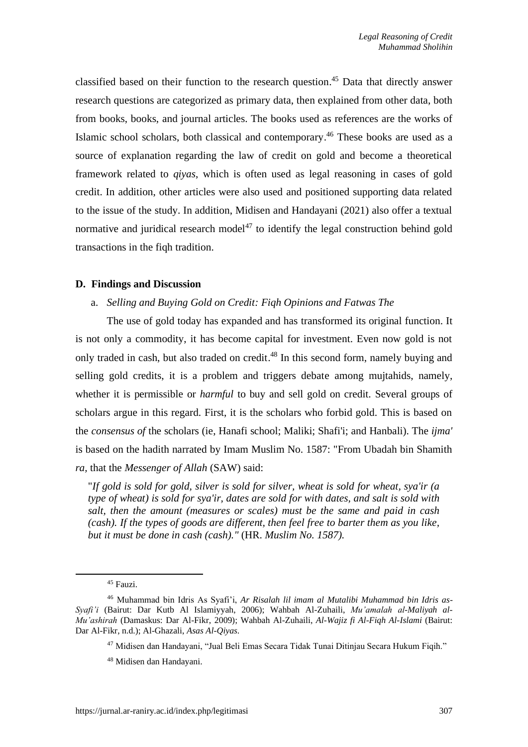classified based on their function to the research question. <sup>45</sup> Data that directly answer research questions are categorized as primary data, then explained from other data, both from books, books, and journal articles. The books used as references are the works of Islamic school scholars, both classical and contemporary. <sup>46</sup> These books are used as a source of explanation regarding the law of credit on gold and become a theoretical framework related to *qiyas*, which is often used as legal reasoning in cases of gold credit. In addition, other articles were also used and positioned supporting data related to the issue of the study. In addition, Midisen and Handayani (2021) also offer a textual normative and juridical research model<sup> $47$ </sup> to identify the legal construction behind gold transactions in the fiqh tradition.

## **D. Findings and Discussion**

#### a. *Selling and Buying Gold on Credit: Fiqh Opinions and Fatwas The*

The use of gold today has expanded and has transformed its original function. It is not only a commodity, it has become capital for investment. Even now gold is not only traded in cash, but also traded on credit. <sup>48</sup> In this second form, namely buying and selling gold credits, it is a problem and triggers debate among mujtahids, namely, whether it is permissible or *harmful* to buy and sell gold on credit. Several groups of scholars argue in this regard. First, it is the scholars who forbid gold. This is based on the *consensus of* the scholars (ie, Hanafi school; Maliki; Shafi'i; and Hanbali). The *ijma'* is based on the hadith narrated by Imam Muslim No. 1587: "From Ubadah bin Shamith *ra,* that the *Messenger of Allah* (SAW) said:

"*If gold is sold for gold, silver is sold for silver, wheat is sold for wheat, sya'ir (a type of wheat) is sold for sya'ir, dates are sold for with dates, and salt is sold with salt, then the amount (measures or scales) must be the same and paid in cash (cash). If the types of goods are different, then feel free to barter them as you like, but it must be done in cash (cash)."* (HR. *Muslim No. 1587).*

<sup>45</sup> Fauzi.

<sup>46</sup> Muhammad bin Idris As Syafi'i, *Ar Risalah lil imam al Mutalibi Muhammad bin Idris as-Syafi'i* (Bairut: Dar Kutb Al Islamiyyah, 2006); Wahbah Al-Zuhaili, *Mu'amalah al-Maliyah al-Mu'ashirah* (Damaskus: Dar Al-Fikr, 2009); Wahbah Al-Zuhaili, *Al-Wajiz fi Al-Fiqh Al-Islami* (Bairut: Dar Al-Fikr, n.d.); Al-Ghazali, *Asas Al-Qiyas*.

<sup>47</sup> Midisen dan Handayani, "Jual Beli Emas Secara Tidak Tunai Ditinjau Secara Hukum Fiqih."

<sup>48</sup> Midisen dan Handayani.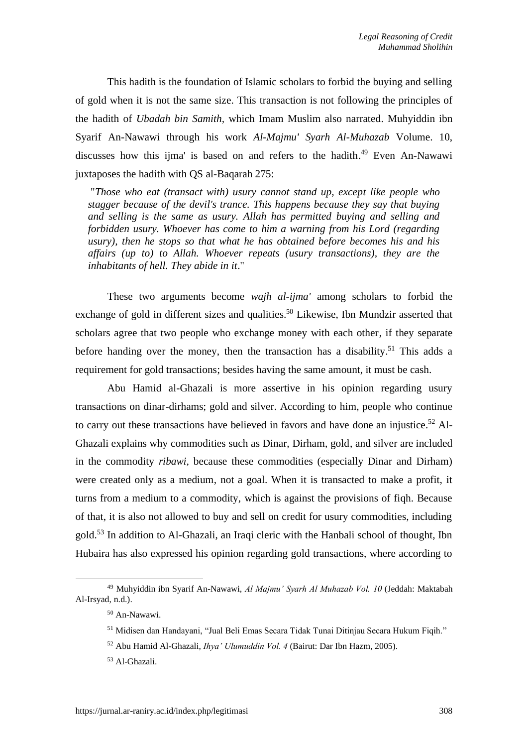This hadith is the foundation of Islamic scholars to forbid the buying and selling of gold when it is not the same size. This transaction is not following the principles of the hadith of *Ubadah bin Samith,* which Imam Muslim also narrated. Muhyiddin ibn Syarif An-Nawawi through his work *Al-Majmu' Syarh Al-Muhazab* Volume. 10, discusses how this ijma' is based on and refers to the hadith. <sup>49</sup> Even An-Nawawi juxtaposes the hadith with QS al-Baqarah 275:

"*Those who eat (transact with) usury cannot stand up, except like people who stagger because of the devil's trance. This happens because they say that buying and selling is the same as usury. Allah has permitted buying and selling and forbidden usury. Whoever has come to him a warning from his Lord (regarding usury), then he stops so that what he has obtained before becomes his and his affairs (up to) to Allah. Whoever repeats (usury transactions), they are the inhabitants of hell. They abide in it*."

These two arguments become *wajh al-ijma'* among scholars to forbid the exchange of gold in different sizes and qualities.<sup>50</sup> Likewise, Ibn Mundzir asserted that scholars agree that two people who exchange money with each other, if they separate before handing over the money, then the transaction has a disability.<sup>51</sup> This adds a requirement for gold transactions; besides having the same amount, it must be cash.

Abu Hamid al-Ghazali is more assertive in his opinion regarding usury transactions on dinar-dirhams; gold and silver. According to him, people who continue to carry out these transactions have believed in favors and have done an injustice.<sup>52</sup> Al-Ghazali explains why commodities such as Dinar, Dirham, gold, and silver are included in the commodity *ribawi,* because these commodities (especially Dinar and Dirham) were created only as a medium, not a goal. When it is transacted to make a profit, it turns from a medium to a commodity, which is against the provisions of fiqh. Because of that, it is also not allowed to buy and sell on credit for usury commodities, including gold.<sup>53</sup> In addition to Al-Ghazali, an Iraqi cleric with the Hanbali school of thought, Ibn Hubaira has also expressed his opinion regarding gold transactions, where according to

<sup>49</sup> Muhyiddin ibn Syarif An-Nawawi, *Al Majmu' Syarh Al Muhazab Vol. 10* (Jeddah: Maktabah Al-Irsyad, n.d.).

<sup>50</sup> An-Nawawi.

<sup>51</sup> Midisen dan Handayani, "Jual Beli Emas Secara Tidak Tunai Ditinjau Secara Hukum Fiqih."

<sup>52</sup> Abu Hamid Al-Ghazali, *Ihya' Ulumuddin Vol. 4* (Bairut: Dar Ibn Hazm, 2005).

<sup>53</sup> Al-Ghazali.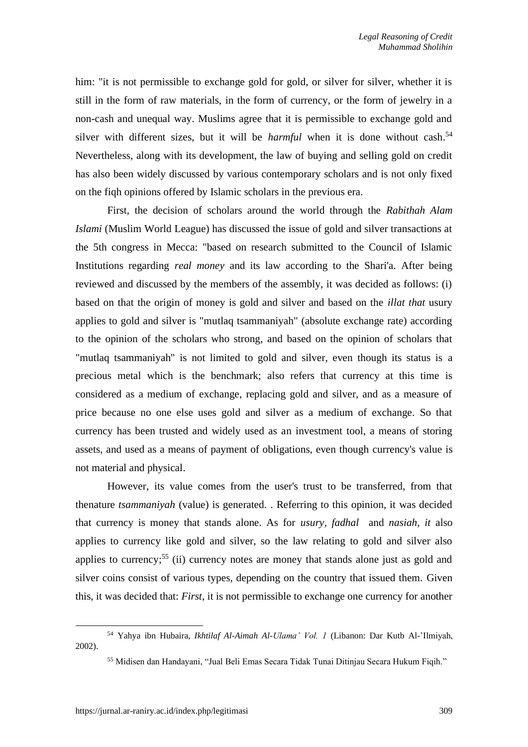him: "it is not permissible to exchange gold for gold, or silver for silver, whether it is still in the form of raw materials, in the form of currency, or the form of jewelry in a non-cash and unequal way. Muslims agree that it is permissible to exchange gold and silver with different sizes, but it will be *harmful* when it is done without cash. 54 Nevertheless, along with its development, the law of buying and selling gold on credit has also been widely discussed by various contemporary scholars and is not only fixed on the fiqh opinions offered by Islamic scholars in the previous era.

First, the decision of scholars around the world through the *Rabithah Alam Islami* (Muslim World League) has discussed the issue of gold and silver transactions at the 5th congress in Mecca: "based on research submitted to the Council of Islamic Institutions regarding *real money* and its law according to the Shari'a. After being reviewed and discussed by the members of the assembly, it was decided as follows: (i) based on that the origin of money is gold and silver and based on the *illat that* usury applies to gold and silver is "mutlaq tsammaniyah" (absolute exchange rate) according to the opinion of the scholars who strong, and based on the opinion of scholars that "mutlaq tsammaniyah" is not limited to gold and silver, even though its status is a precious metal which is the benchmark; also refers that currency at this time is considered as a medium of exchange, replacing gold and silver, and as a measure of price because no one else uses gold and silver as a medium of exchange. So that currency has been trusted and widely used as an investment tool, a means of storing assets, and used as a means of payment of obligations, even though currency's value is not material and physical.

However, its value comes from the user's trust to be transferred, from that thenature *tsammaniyah* (value) is generated. . Referring to this opinion, it was decided that currency is money that stands alone. As for *usury, fadhal* and *nasiah, it* also applies to currency like gold and silver, so the law relating to gold and silver also applies to currency;<sup>55</sup> (ii) currency notes are money that stands alone just as gold and silver coins consist of various types, depending on the country that issued them. Given this, it was decided that: *First*, it is not permissible to exchange one currency for another

<sup>54</sup> Yahya ibn Hubaira, *Ikhtilaf Al-Aimah Al-Ulama' Vol. 1* (Libanon: Dar Kutb Al-'Ilmiyah, 2002).

<sup>55</sup> Midisen dan Handayani, "Jual Beli Emas Secara Tidak Tunai Ditinjau Secara Hukum Fiqih."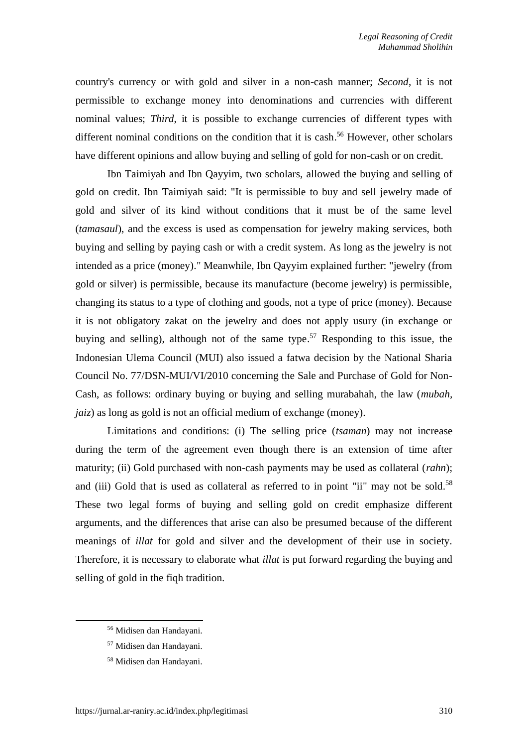country's currency or with gold and silver in a non-cash manner; *Second*, it is not permissible to exchange money into denominations and currencies with different nominal values; *Third*, it is possible to exchange currencies of different types with different nominal conditions on the condition that it is cash. <sup>56</sup> However, other scholars have different opinions and allow buying and selling of gold for non-cash or on credit.

Ibn Taimiyah and Ibn Qayyim, two scholars, allowed the buying and selling of gold on credit. Ibn Taimiyah said: "It is permissible to buy and sell jewelry made of gold and silver of its kind without conditions that it must be of the same level (*tamasaul*), and the excess is used as compensation for jewelry making services, both buying and selling by paying cash or with a credit system. As long as the jewelry is not intended as a price (money)." Meanwhile, Ibn Qayyim explained further: "jewelry (from gold or silver) is permissible, because its manufacture (become jewelry) is permissible, changing its status to a type of clothing and goods, not a type of price (money). Because it is not obligatory zakat on the jewelry and does not apply usury (in exchange or buying and selling), although not of the same type. <sup>57</sup> Responding to this issue, the Indonesian Ulema Council (MUI) also issued a fatwa decision by the National Sharia Council No. 77/DSN-MUI/VI/2010 concerning the Sale and Purchase of Gold for Non-Cash, as follows: ordinary buying or buying and selling murabahah, the law (*mubah, jaiz*) as long as gold is not an official medium of exchange (money).

Limitations and conditions: (i) The selling price (*tsaman*) may not increase during the term of the agreement even though there is an extension of time after maturity; (ii) Gold purchased with non-cash payments may be used as collateral (*rahn*); and (iii) Gold that is used as collateral as referred to in point "ii" may not be sold.<sup>58</sup> These two legal forms of buying and selling gold on credit emphasize different arguments, and the differences that arise can also be presumed because of the different meanings of *illat* for gold and silver and the development of their use in society. Therefore, it is necessary to elaborate what *illat* is put forward regarding the buying and selling of gold in the fiqh tradition.

<sup>56</sup> Midisen dan Handayani.

<sup>57</sup> Midisen dan Handayani.

<sup>58</sup> Midisen dan Handayani.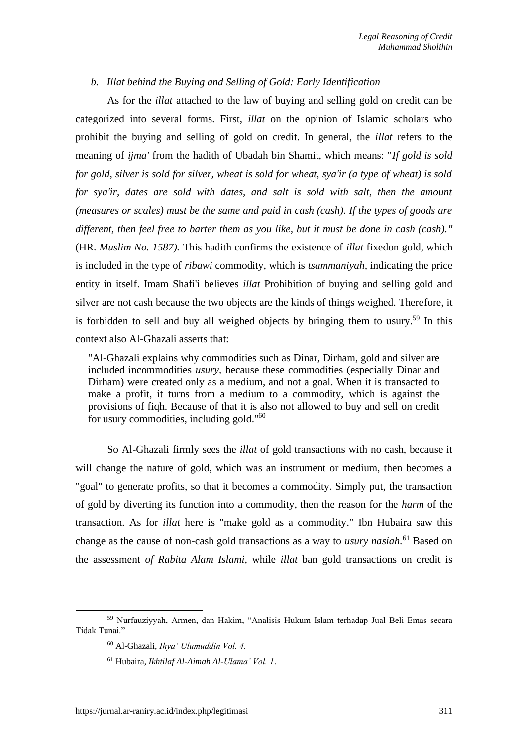## *b. Illat behind the Buying and Selling of Gold: Early Identification*

As for the *illat* attached to the law of buying and selling gold on credit can be categorized into several forms. First, *illat* on the opinion of Islamic scholars who prohibit the buying and selling of gold on credit. In general, the *illat* refers to the meaning of *ijma'* from the hadith of Ubadah bin Shamit, which means: "*If gold is sold for gold, silver is sold for silver, wheat is sold for wheat, sya'ir (a type of wheat) is sold*  for sya'ir, dates are sold with dates, and salt is sold with salt, then the amount *(measures or scales) must be the same and paid in cash (cash). If the types of goods are different, then feel free to barter them as you like, but it must be done in cash (cash)."* (HR. *Muslim No. 1587).* This hadith confirms the existence of *illat* fixedon gold, which is included in the type of *ribawi* commodity, which is *tsammaniyah,* indicating the price entity in itself. Imam Shafi'i believes *illat* Prohibition of buying and selling gold and silver are not cash because the two objects are the kinds of things weighed. Therefore, it is forbidden to sell and buy all weighed objects by bringing them to usury.<sup>59</sup> In this context also Al-Ghazali asserts that:

"Al-Ghazali explains why commodities such as Dinar, Dirham, gold and silver are included incommodities *usury,* because these commodities (especially Dinar and Dirham) were created only as a medium, and not a goal. When it is transacted to make a profit, it turns from a medium to a commodity, which is against the provisions of fiqh. Because of that it is also not allowed to buy and sell on credit for usury commodities, including gold."<sup>60</sup>

So Al-Ghazali firmly sees the *illat* of gold transactions with no cash, because it will change the nature of gold, which was an instrument or medium, then becomes a "goal" to generate profits, so that it becomes a commodity. Simply put, the transaction of gold by diverting its function into a commodity, then the reason for the *harm* of the transaction. As for *illat* here is "make gold as a commodity." Ibn Hubaira saw this change as the cause of non-cash gold transactions as a way to *usury nasiah.* <sup>61</sup> Based on the assessment *of Rabita Alam Islami,* while *illat* ban gold transactions on credit is

<sup>59</sup> Nurfauziyyah, Armen, dan Hakim, "Analisis Hukum Islam terhadap Jual Beli Emas secara Tidak Tunai."

<sup>60</sup> Al-Ghazali, *Ihya' Ulumuddin Vol. 4*.

<sup>61</sup> Hubaira, *Ikhtilaf Al-Aimah Al-Ulama' Vol. 1*.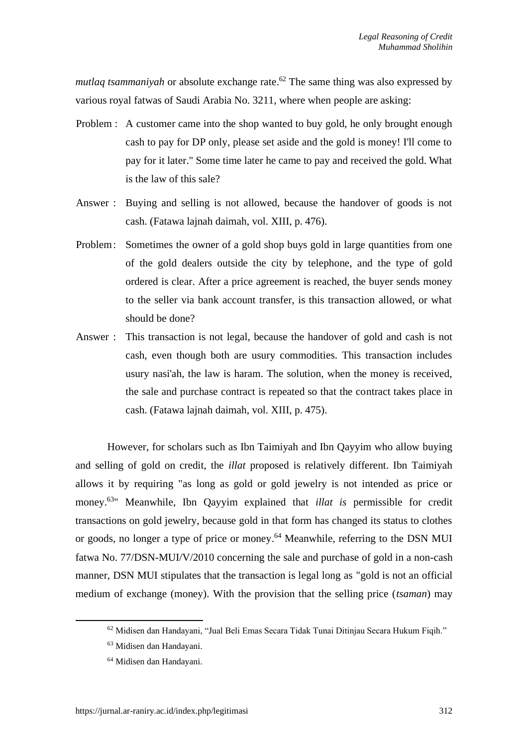*mutlaq tsammaniyah* or absolute exchange rate. <sup>62</sup> The same thing was also expressed by various royal fatwas of Saudi Arabia No. 3211, where when people are asking:

- Problem : A customer came into the shop wanted to buy gold, he only brought enough cash to pay for DP only, please set aside and the gold is money! I'll come to pay for it later." Some time later he came to pay and received the gold. What is the law of this sale?
- Answer : Buying and selling is not allowed, because the handover of goods is not cash. (Fatawa lajnah daimah, vol. XIII, p. 476).
- Problem: Sometimes the owner of a gold shop buys gold in large quantities from one of the gold dealers outside the city by telephone, and the type of gold ordered is clear. After a price agreement is reached, the buyer sends money to the seller via bank account transfer, is this transaction allowed, or what should be done?
- Answer : This transaction is not legal, because the handover of gold and cash is not cash, even though both are usury commodities. This transaction includes usury nasi'ah, the law is haram. The solution, when the money is received, the sale and purchase contract is repeated so that the contract takes place in cash. (Fatawa lajnah daimah, vol. XIII, p. 475).

However, for scholars such as Ibn Taimiyah and Ibn Qayyim who allow buying and selling of gold on credit, the *illat* proposed is relatively different. Ibn Taimiyah allows it by requiring "as long as gold or gold jewelry is not intended as price or money. <sup>63</sup>" Meanwhile, Ibn Qayyim explained that *illat is* permissible for credit transactions on gold jewelry, because gold in that form has changed its status to clothes or goods, no longer a type of price or money. <sup>64</sup> Meanwhile, referring to the DSN MUI fatwa No. 77/DSN-MUI/V/2010 concerning the sale and purchase of gold in a non-cash manner, DSN MUI stipulates that the transaction is legal long as "gold is not an official medium of exchange (money). With the provision that the selling price (*tsaman*) may

<sup>62</sup> Midisen dan Handayani, "Jual Beli Emas Secara Tidak Tunai Ditinjau Secara Hukum Fiqih."

<sup>63</sup> Midisen dan Handayani.

<sup>64</sup> Midisen dan Handayani.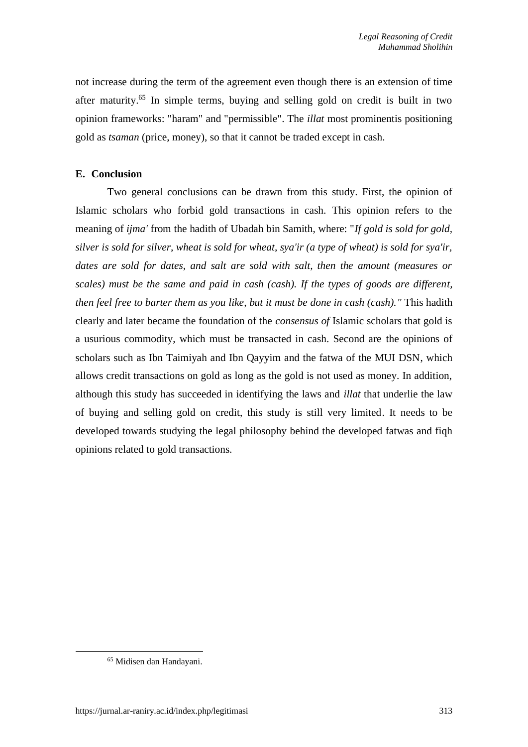not increase during the term of the agreement even though there is an extension of time after maturity. <sup>65</sup> In simple terms, buying and selling gold on credit is built in two opinion frameworks: "haram" and "permissible". The *illat* most prominentis positioning gold as *tsaman* (price, money), so that it cannot be traded except in cash.

# **E. Conclusion**

Two general conclusions can be drawn from this study. First, the opinion of Islamic scholars who forbid gold transactions in cash. This opinion refers to the meaning of *ijma'* from the hadith of Ubadah bin Samith, where: "*If gold is sold for gold, silver is sold for silver, wheat is sold for wheat, sya'ir (a type of wheat) is sold for sya'ir, dates are sold for dates, and salt are sold with salt, then the amount (measures or scales) must be the same and paid in cash (cash). If the types of goods are different, then feel free to barter them as you like, but it must be done in cash (cash)."* This hadith clearly and later became the foundation of the *consensus of* Islamic scholars that gold is a usurious commodity, which must be transacted in cash. Second are the opinions of scholars such as Ibn Taimiyah and Ibn Qayyim and the fatwa of the MUI DSN, which allows credit transactions on gold as long as the gold is not used as money. In addition, although this study has succeeded in identifying the laws and *illat* that underlie the law of buying and selling gold on credit, this study is still very limited. It needs to be developed towards studying the legal philosophy behind the developed fatwas and fiqh opinions related to gold transactions.

<sup>65</sup> Midisen dan Handayani.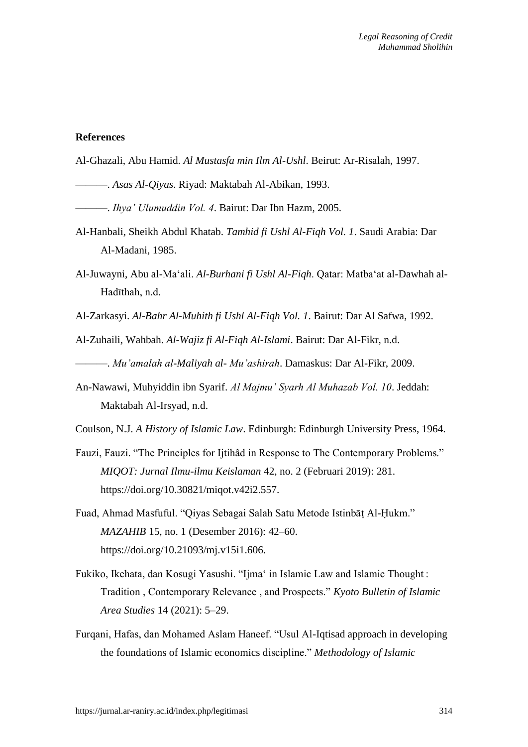#### **References**

Al-Ghazali, Abu Hamid. *Al Mustasfa min Ilm Al-Ushl*. Beirut: Ar-Risalah, 1997.

- ———. *Asas Al-Qiyas*. Riyad: Maktabah Al-Abikan, 1993.
- ———. *Ihya' Ulumuddin Vol. 4*. Bairut: Dar Ibn Hazm, 2005.
- Al-Hanbali, Sheikh Abdul Khatab. *Tamhid fi Ushl Al-Fiqh Vol. 1*. Saudi Arabia: Dar Al-Madani, 1985.
- Al-Juwayni, Abu al-Ma'ali. *Al-Burhani fi Ushl Al-Fiqh*. Qatar: Matba'at al-Dawhah al-Hadīthah, n.d.
- Al-Zarkasyi. *Al-Bahr Al-Muhith fi Ushl Al-Fiqh Vol. 1*. Bairut: Dar Al Safwa, 1992.
- Al-Zuhaili, Wahbah. *Al-Wajiz fi Al-Fiqh Al-Islami*. Bairut: Dar Al-Fikr, n.d.

———. *Mu'amalah al-Maliyah al- Mu'ashirah*. Damaskus: Dar Al-Fikr, 2009.

- An-Nawawi, Muhyiddin ibn Syarif. *Al Majmu' Syarh Al Muhazab Vol. 10*. Jeddah: Maktabah Al-Irsyad, n.d.
- Coulson, N.J. *A History of Islamic Law*. Edinburgh: Edinburgh University Press, 1964.
- Fauzi, Fauzi. "The Principles for Ijtihâd in Response to The Contemporary Problems." *MIQOT: Jurnal Ilmu-ilmu Keislaman* 42, no. 2 (Februari 2019): 281. https://doi.org/10.30821/miqot.v42i2.557.
- Fuad, Ahmad Masfuful. "Qiyas Sebagai Salah Satu Metode Istinbāṭ Al-Ḥukm." *MAZAHIB* 15, no. 1 (Desember 2016): 42–60. https://doi.org/10.21093/mj.v15i1.606.
- Fukiko, Ikehata, dan Kosugi Yasushi. "Ijmaʻ in Islamic Law and Islamic Thought : Tradition , Contemporary Relevance , and Prospects." *Kyoto Bulletin of Islamic Area Studies* 14 (2021): 5–29.
- Furqani, Hafas, dan Mohamed Aslam Haneef. "Usul Al-Iqtisad approach in developing the foundations of Islamic economics discipline." *Methodology of Islamic*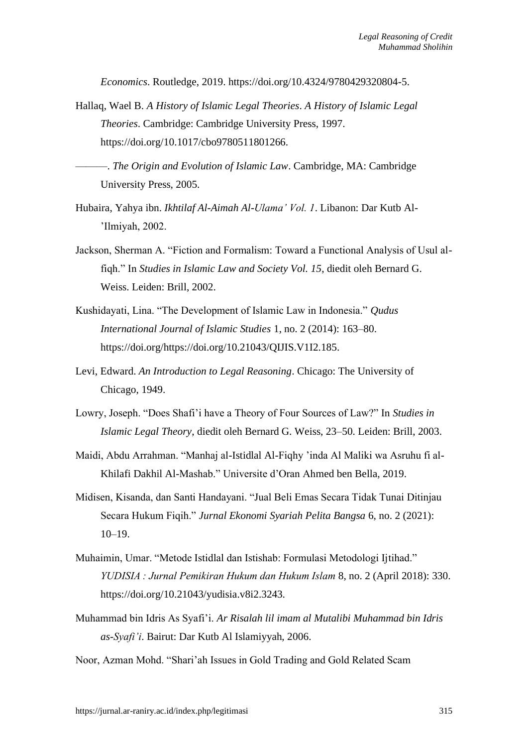*Economics*. Routledge, 2019. https://doi.org/10.4324/9780429320804-5.

Hallaq, Wael B. *A History of Islamic Legal Theories*. *A History of Islamic Legal Theories*. Cambridge: Cambridge University Press, 1997. https://doi.org/10.1017/cbo9780511801266.

———. *The Origin and Evolution of Islamic Law*. Cambridge, MA: Cambridge University Press, 2005.

- Hubaira, Yahya ibn. *Ikhtilaf Al-Aimah Al-Ulama' Vol. 1*. Libanon: Dar Kutb Al- 'Ilmiyah, 2002.
- Jackson, Sherman A. "Fiction and Formalism: Toward a Functional Analysis of Usul alfiqh." In *Studies in Islamic Law and Society Vol. 15*, diedit oleh Bernard G. Weiss. Leiden: Brill, 2002.
- Kushidayati, Lina. "The Development of Islamic Law in Indonesia." *Qudus International Journal of Islamic Studies* 1, no. 2 (2014): 163–80. https://doi.org/https://doi.org/10.21043/QIJIS.V1I2.185.
- Levi, Edward. *An Introduction to Legal Reasoning*. Chicago: The University of Chicago, 1949.
- Lowry, Joseph. "Does Shafi'i have a Theory of Four Sources of Law?" In *Studies in Islamic Legal Theory*, diedit oleh Bernard G. Weiss, 23–50. Leiden: Brill, 2003.
- Maidi, Abdu Arrahman. "Manhaj al-Istidlal Al-Fiqhy 'inda Al Maliki wa Asruhu fi al-Khilafi Dakhil Al-Mashab." Universite d'Oran Ahmed ben Bella, 2019.
- Midisen, Kisanda, dan Santi Handayani. "Jual Beli Emas Secara Tidak Tunai Ditinjau Secara Hukum Fiqih." *Jurnal Ekonomi Syariah Pelita Bangsa* 6, no. 2 (2021): 10–19.
- Muhaimin, Umar. "Metode Istidlal dan Istishab: Formulasi Metodologi Ijtihad." *YUDISIA : Jurnal Pemikiran Hukum dan Hukum Islam* 8, no. 2 (April 2018): 330. https://doi.org/10.21043/yudisia.v8i2.3243.
- Muhammad bin Idris As Syafi'i. *Ar Risalah lil imam al Mutalibi Muhammad bin Idris as-Syafi'i*. Bairut: Dar Kutb Al Islamiyyah, 2006.

Noor, Azman Mohd. "Shari'ah Issues in Gold Trading and Gold Related Scam